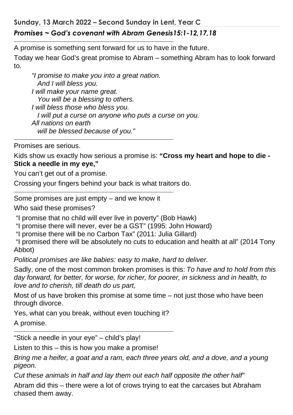**Sunday, 13 March 2022 – Second Sunday in Lent, Year C**  *Promises ~ God's covenant with Abram Genesis15:1-12,17,18* 

A promise is something sent forward for us to have in the future.

Today we hear God's great promise to Abram – something Abram has to look forward to.

*"I promise to make you into a great nation. And I will bless you. I will make your name great. You will be a blessing to others. I will bless those who bless you. I will put a curse on anyone who puts a curse on you. All nations on earth will be blessed because of you."* 

Promises are serious.

Kids show us exactly how serious a promise is: **"Cross my heart and hope to die - Stick a needle in my eye,"**

You can't get out of a promise.

Crossing your fingers behind your back is what traitors do.

Some promises are just empty – and we know it

Who said these promises?

"I promise that no child will ever live in poverty" (Bob Hawk)

"I promise there will never, ever be a GST" (1995: John Howard)

"I promise there will be no Carbon Tax" (2011: Julia Gillard)

 "I promised there will be absolutely no cuts to education and health at all" (2014 Tony Abbot)

*Political promises are like babies: easy to make, hard to deliver.* 

Sadly, one of the most common broken promises is this: *To have and to hold from this day forward, for better, for worse, for richer, for poorer, in sickness and in health, to love and to cherish, till death do us part,* 

Most of us have broken this promise at some time – not just those who have been through divorce.

Yes, what can you break, without even touching it?

A promise.

"Stick a needle in your eye" – child's play!

Listen to this – this is how you make a promise!

*Bring me a heifer, a goat and a ram, each three years old, and a dove, and a young pigeon.* 

*Cut these animals in half and lay them out each half opposite the other half"* 

Abram did this – there were a lot of crows trying to eat the carcases but Abraham chased them away.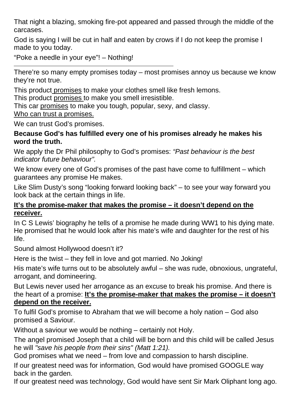That night a blazing, smoking fire-pot appeared and passed through the middle of the carcases.

God is saying I will be cut in half and eaten by crows if I do not keep the promise I made to you today.

"Poke a needle in your eye"! – Nothing!

There're so many empty promises today – most promises annoy us because we know they're not true.

This product promises to make your clothes smell like fresh lemons.

This product promises to make you smell irresistible.

This car promises to make you tough, popular, sexy, and classy.

Who can trust a promises.

We can trust God's promises.

## **Because God's has fulfilled every one of his promises already he makes his word the truth.**

We apply the Dr Phil philosophy to God's promises: *"Past behaviour is the best indicator future behaviour".* 

We know every one of God's promises of the past have come to fulfillment – which guarantees any promise He makes.

Like Slim Dusty's song "looking forward looking back" – to see your way forward you look back at the certain things in life.

## **It's the promise-maker that makes the promise – it doesn't depend on the receiver.**

In C S Lewis' biography he tells of a promise he made during WW1 to his dying mate. He promised that he would look after his mate's wife and daughter for the rest of his life.

Sound almost Hollywood doesn't it?

Here is the twist – they fell in love and got married. No Joking!

His mate's wife turns out to be absolutely awful – she was rude, obnoxious, ungrateful, arrogant, and domineering.

But Lewis never used her arrogance as an excuse to break his promise. And there is the heart of a promise: **It's the promise-maker that makes the promise – it doesn't depend on the receiver.**

To fulfil God's promise to Abraham that we will become a holy nation – God also promised a Saviour.

Without a saviour we would be nothing – certainly not Holy.

The angel promised Joseph that a child will be born and this child will be called Jesus he will *"save his people from their sins" (Matt 1:21).* 

God promises what we need – from love and compassion to harsh discipline.

If our greatest need was for information, God would have promised GOOGLE way back in the garden.

If our greatest need was technology, God would have sent Sir Mark Oliphant long ago.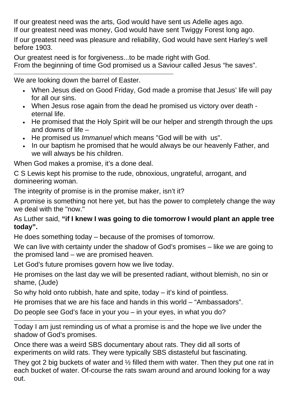If our greatest need was the arts, God would have sent us Adelle ages ago.

If our greatest need was money, God would have sent Twiggy Forest long ago.

If our greatest need was pleasure and reliability, God would have sent Harley's well before 1903.

Our greatest need is for forgiveness...to be made right with God. From the beginning of time God promised us a Saviour called Jesus "he saves".

We are looking down the barrel of Easter.

- When Jesus died on Good Friday, God made a promise that Jesus' life will pay for all our sins.
- When Jesus rose again from the dead he promised us victory over death eternal life.
- He promised that the Holy Spirit will be our helper and strength through the ups and downs of life –
- He promised us *Immanuel* which means "God will be with us".
- In our baptism he promised that he would always be our heavenly Father, and we will always be his children.

When God makes a promise, it's a done deal.

C S Lewis kept his promise to the rude, obnoxious, ungrateful, arrogant, and domineering woman.

The integrity of promise is in the promise maker, isn't it?

A promise is something not here yet, but has the power to completely change the way we deal with the "now."

## As Luther said, **"if I knew I was going to die tomorrow I would plant an apple tree today".**

He does something today – because of the promises of tomorrow.

We can live with certainty under the shadow of God's promises – like we are going to the promised land – we are promised heaven.

Let God's future promises govern how we live today.

He promises on the last day we will be presented radiant, without blemish, no sin or shame, (Jude)

So why hold onto rubbish, hate and spite, today  $-$  it's kind of pointless.

He promises that we are his face and hands in this world – "Ambassadors".

Do people see God's face in your you – in your eyes, in what you do?

Today I am just reminding us of what a promise is and the hope we live under the shadow of God's promises.

Once there was a weird SBS documentary about rats. They did all sorts of experiments on wild rats. They were typically SBS distasteful but fascinating.

They got 2 big buckets of water and ½ filled them with water. Then they put one rat in each bucket of water. Of-course the rats swam around and around looking for a way out.